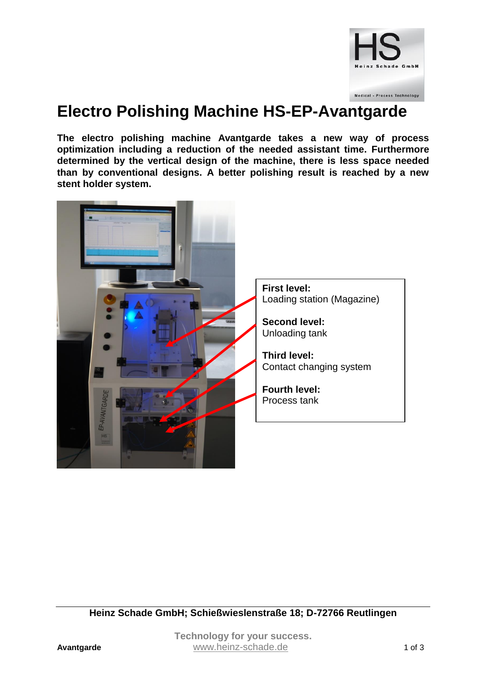

## **Electro Polishing Machine HS-EP-Avantgarde**

**The electro polishing machine Avantgarde takes a new way of process optimization including a reduction of the needed assistant time. Furthermore determined by the vertical design of the machine, there is less space needed than by conventional designs. A better polishing result is reached by a new stent holder system.**



**Heinz Schade GmbH; Schießwieslenstraße 18; D-72766 Reutlingen**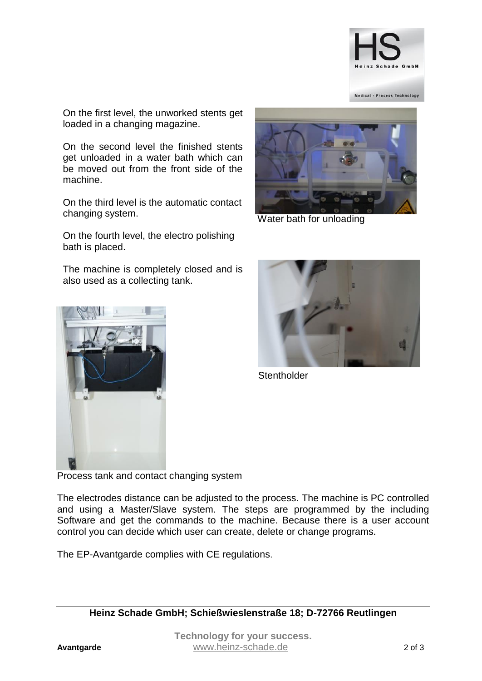

On the first level, the unworked stents get loaded in a changing magazine.

On the second level the finished stents get unloaded in a water bath which can be moved out from the front side of the machine.

On the third level is the automatic contact changing system.

On the fourth level, the electro polishing bath is placed.

The machine is completely closed and is also used as a collecting tank.





Water bath for unloading



**Stentholder** 

Process tank and contact changing system

The electrodes distance can be adjusted to the process. The machine is PC controlled and using a Master/Slave system. The steps are programmed by the including Software and get the commands to the machine. Because there is a user account control you can decide which user can create, delete or change programs.

The EP-Avantgarde complies with CE regulations.

**Heinz Schade GmbH; Schießwieslenstraße 18; D-72766 Reutlingen**